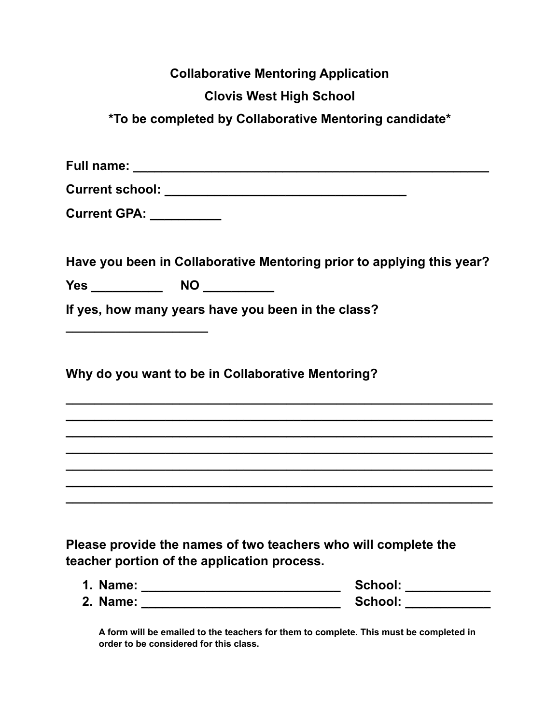|                                             | <b>Collaborative Mentoring Application</b>                            |
|---------------------------------------------|-----------------------------------------------------------------------|
|                                             | <b>Clovis West High School</b>                                        |
|                                             | *To be completed by Collaborative Mentoring candidate*                |
|                                             |                                                                       |
|                                             |                                                                       |
| Current GPA: __________                     |                                                                       |
|                                             | Have you been in Collaborative Mentoring prior to applying this year? |
|                                             |                                                                       |
|                                             | If yes, how many years have you been in the class?                    |
|                                             | Why do you want to be in Collaborative Mentoring?                     |
|                                             |                                                                       |
|                                             |                                                                       |
| teacher portion of the application process. | Please provide the names of two teachers who will complete the        |
|                                             | School: ____________                                                  |
|                                             | School: ____________                                                  |

**A form will be emailed to the teachers for them to complete. This must be completed in order to be considered for this class.**